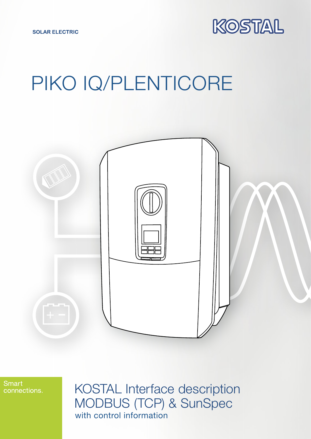

# PIKO IQ/PLENTICORE



**Smart** connections.

KOSTAL Interface description MODBUS (TCP) & SunSpec with control information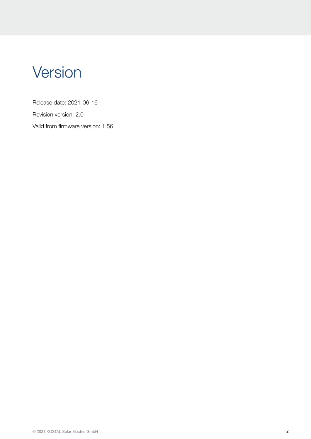# **Version**

Release date: 2021-06-16

Revision version: 2.0

Valid from firmware version: 1.56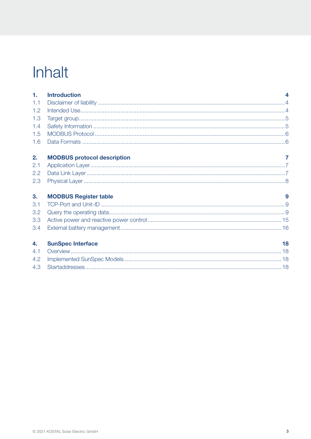# Inhalt

| 1.               | <b>Introduction</b>                |    |
|------------------|------------------------------------|----|
| 1.1              |                                    |    |
| 1.2              |                                    |    |
| 1.3              |                                    |    |
| 1.4              |                                    |    |
| 1.5              |                                    |    |
| 1.6              |                                    |    |
|                  |                                    |    |
| 2.               | <b>MODBUS protocol description</b> |    |
| 2.1              |                                    |    |
| 2.2              |                                    |    |
| 2.3              |                                    |    |
| 3.               | <b>MODBUS Register table</b>       | 9  |
| 3.1              |                                    |    |
| 3.2              |                                    |    |
| 3.3 <sub>2</sub> |                                    |    |
| 3.4              |                                    |    |
| 4.               | <b>SunSpec Interface</b>           | 18 |
| 4.1              |                                    |    |
| 4.2              |                                    |    |
| 4.3              |                                    |    |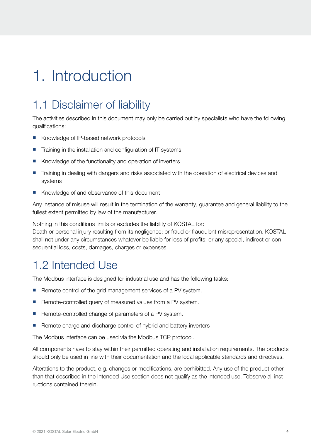# <span id="page-3-0"></span>1. Introduction

## 1.1 Disclaimer of liability

The activities described in this document may only be carried out by specialists who have the following qualifications:

- Knowledge of IP-based network protocols
- Training in the installation and configuration of IT systems
- Knowledge of the functionality and operation of inverters
- **n** Training in dealing with dangers and risks associated with the operation of electrical devices and systems
- Knowledge of and observance of this document

Any instance of misuse will result in the termination of the warranty, guarantee and general liability to the fullest extent permitted by law of the manufacturer.

Nothing in this conditions limits or excludes the liability of KOSTAL for:

Death or personal injury resulting from its negligence; or fraud or fraudulent misrepresentation. KOSTAL shall not under any circumstances whatever be liable for loss of profits; or any special, indirect or consequential loss, costs, damages, charges or expenses.

### 1.2 Intended Use

The Modbus interface is designed for industrial use and has the following tasks:

- Remote control of the grid management services of a PV system.
- Remote-controlled query of measured values from a PV system.
- Remote-controlled change of parameters of a PV system.
- Remote charge and discharge control of hybrid and battery inverters

The Modbus interface can be used via the Modbus TCP protocol.

All components have to stay within their permitted operating and installation requirements. The products should only be used in line with their documentation and the local applicable standards and directives.

Alterations to the product, e.g. changes or modifications, are perhibitted. Any use of the product other than that described in the Intended Use section does not qualify as the intended use. Tobserve all instructions contained therein.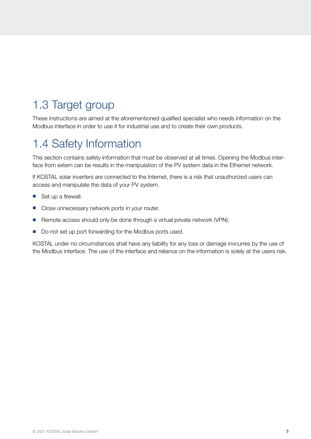## <span id="page-4-0"></span>1.3 Target group

These instructions are aimed at the aforementioned qualified specialist who needs information on the Modbus interface in order to use it for industrial use and to create their own products.

## 1.4 Safety Information

This section contains safety information that must be observed at all times. Opening the Modbus interface from extern can be results in the manipulation of the PV system data in the Ethernet network.

If KOSTAL solar inverters are connected to the Internet, there is a risk that unauthorized users can access and manipulate the data of your PV system.

- $\blacksquare$  Set up a firewall.
- Close unnecessary network ports in your router.
- Remote access should only be done through a virtual private network (VPN).
- Do not set up port forwarding for the Modbus ports used.

KOSTAL under no circumstances shall have any liability for any loss or damage invcurres by the use of the Modbus interface. The use of the interface and reliance on the information is solely at the users risk.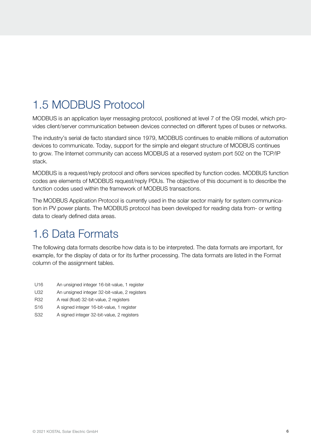# <span id="page-5-0"></span>1.5 MODBUS Protocol

MODBUS is an application layer messaging protocol, positioned at level 7 of the OSI model, which provides client/server communication between devices connected on different types of buses or networks.

The industry's serial de facto standard since 1979, MODBUS continues to enable millions of automation devices to communicate. Today, support for the simple and elegant structure of MODBUS continues to grow. The Internet community can access MODBUS at a reserved system port 502 on the TCP/IP stack.

MODBUS is a request/reply protocol and offers services specified by function codes. MODBUS function codes are elements of MODBUS request/reply PDUs. The objective of this document is to describe the function codes used within the framework of MODBUS transactions.

The MODBUS Application Protocol is currently used in the solar sector mainly for system communication in PV power plants. The MODBUS protocol has been developed for reading data from- or writing data to clearly defined data areas.

### 1.6 Data Formats

The following data formats describe how data is to be interpreted. The data formats are important, for example, for the display of data or for its further processing. The data formats are listed in the Format column of the assignment tables.

- U16 An unsigned integer 16-bit-value, 1 register
- U32 An unsigned integer 32-bit-value, 2 registers
- R32 A real (float) 32-bit-value, 2 registers
- S16 A signed integer 16-bit-value, 1 register
- S32 A signed integer 32-bit-value, 2 registers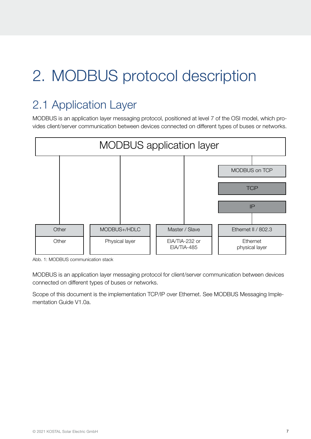# <span id="page-6-0"></span>2. MODBUS protocol description

# 2.1 Application Layer

MODBUS is an application layer messaging protocol, positioned at level 7 of the OSI model, which provides client/server communication between devices connected on different types of buses or networks.



Abb. 1: MODBUS communication stack

MODBUS is an application layer messaging protocol for client/server communication between devices connected on different types of buses or networks.

Scope of this document is the implementation TCP/IP over Ethernet. See MODBUS Messaging Implementation Guide V1.0a.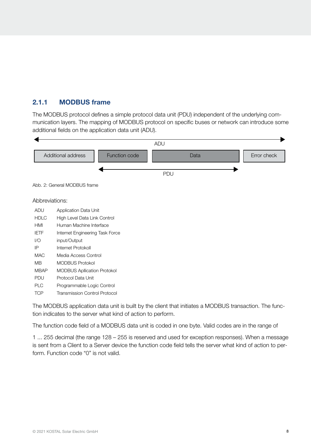### 2.1.1 MODBUS frame

The MODBUS protocol defines a simple protocol data unit (PDU) independent of the underlying communication layers. The mapping of MODBUS protocol on specific buses or network can introduce some additional fields on the application data unit (ADU).



The MODBUS application data unit is built by the client that initiates a MODBUS transaction. The function indicates to the server what kind of action to perform.

The function code field of a MODBUS data unit is coded in one byte. Valid codes are in the range of

1 ... 255 decimal (the range 128 – 255 is reserved and used for exception responses). When a message is sent from a Client to a Server device the function code field tells the server what kind of action to perform. Function code "0" is not valid.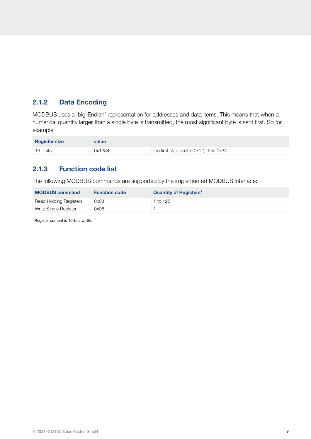### 2.1.2 Data Encoding

MODBUS uses a 'big-Endian' representation for addresses and data items. This means that when a numerical quantity larger than a single byte is transmitted, the most significant byte is sent first. So for example

| <b>Register size</b> | value  |                                        |
|----------------------|--------|----------------------------------------|
| $16 - bits$          | 0x1234 | the first byte sent is 0x12, then 0x34 |

### 2.1.3 Function code list

The following MODBUS commands are supported by the implemented MODBUS interface:

| <b>MODBUS command</b>  | <b>Function code</b> | Quantity of Registers <sup>1</sup> |
|------------------------|----------------------|------------------------------------|
| Read Holding Registers | 0x03                 | 1 to 125                           |
| Write Single Register  | 0x06                 |                                    |

1 Register content is 16-bits width.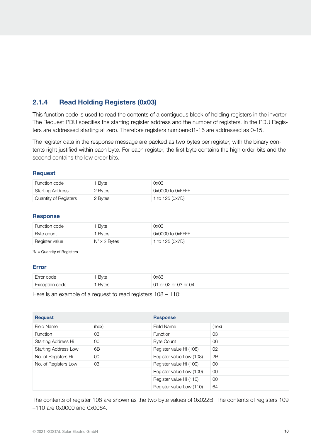#### 2.1.4 Read Holding Registers (0x03)

This function code is used to read the contents of a contiguous block of holding registers in the inverter. The Request PDU specifies the starting register address and the number of registers. In the PDU Registers are addressed starting at zero. Therefore registers numbered1-16 are addressed as 0-15.

The register data in the response message are packed as two bytes per register, with the binary contents right justified within each byte. For each register, the first byte contains the high order bits and the second contains the low order bits.

#### Request

| Function code           | <sup>1</sup> Byte | 0x03             |
|-------------------------|-------------------|------------------|
| <b>Starting Address</b> | 2 Bytes           | 0x0000 to 0xFFFF |
| Quantity of Registers   | 2 Bytes           | 1 to 125 (0x7D)  |

#### Response

| Function code  | ' Byte              | 0x03             |
|----------------|---------------------|------------------|
| Byte count     | <sup>1</sup> Bytes  | 0x0000 to 0xFFFF |
| Register value | $N1 \times 2$ Bytes | 1 to 125 (0x7D)  |

<sup>1</sup>N = Quantity of Registers

#### Error

| Error code     | ' Byte | 0x83                 |
|----------------|--------|----------------------|
| Exception code | Bytes  | 01 or 02 or 03 or 04 |

Here is an example of a request to read registers 108 – 110:

| <b>Request</b>              |        | <b>Response</b>          |         |
|-----------------------------|--------|--------------------------|---------|
| Field Name                  | (hex)  | Field Name               | (hex)   |
| <b>Function</b>             | 03     | <b>Function</b>          | 03      |
| Starting Address Hi         | $00\,$ | <b>Byte Count</b>        | 06      |
| <b>Starting Address Low</b> | 6B     | Register value Hi (108)  | 02      |
| No. of Registers Hi         | $00\,$ | Register value Low (108) | 2B      |
| No. of Registers Low        | 03     | Register value Hi (109)  | $00\,$  |
|                             |        | Register value Low (109) | $00 \,$ |
|                             |        | Register value Hi (110)  | $00\,$  |
|                             |        | Register value Low (110) | 64      |

The contents of register 108 are shown as the two byte values of 0x022B. The contents of registers 109 –110 are 0x0000 and 0x0064.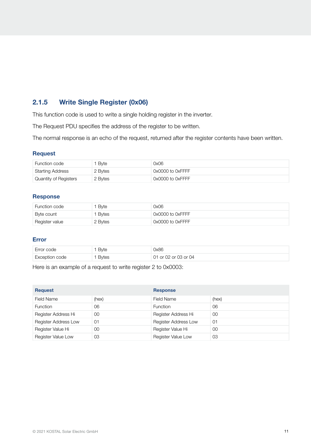### 2.1.5 Write Single Register (0x06)

This function code is used to write a single holding register in the inverter.

The Request PDU specifies the address of the register to be written.

The normal response is an echo of the request, returned after the register contents have been written.

#### Request

| Function code           | <sup>1</sup> Byte | 0x06             |
|-------------------------|-------------------|------------------|
| <b>Starting Address</b> | 2 Bytes           | 0x0000 to 0xFFFF |
| Quantity of Registers   | 2 Bytes           | 0x0000 to 0xFFFF |

#### Response

| Function code  | Byte    | 0x06                  |
|----------------|---------|-----------------------|
| Byte count     | Bytes   | 0x0000 to 0xFFFF      |
| Register value | 2 Bytes | $0x0000$ to $0x$ FFFF |

#### Error

| Error code     | Bvte  | 0x86                 |
|----------------|-------|----------------------|
| Exception code | Bytes | 01 or 02 or 03 or 04 |

Here is an example of a request to write register 2 to 0x0003:

| <b>Request</b>       |        | <b>Response</b>             |       |
|----------------------|--------|-----------------------------|-------|
| Field Name           | (hex)  | <b>Field Name</b>           | (hex) |
| <b>Function</b>      | 06     | <b>Function</b>             | 06    |
| Register Address Hi  | 00     | Register Address Hi         | 00    |
| Register Address Low | 01     | <b>Register Address Low</b> | 01    |
| Register Value Hi    | $00\,$ | Register Value Hi           | 00    |
| Register Value Low   | 03     | Register Value Low          | 03    |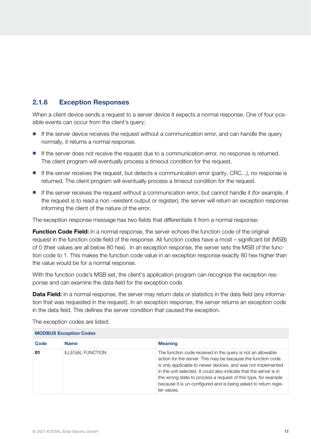#### 2.1.6 Exception Responses

When a client device sends a request to a server device it expects a normal response. One of four possible events can occur from the client's query:

- **n** If the server device receives the request without a communication error, and can handle the query normally, it returns a normal response.
- If the server does not receive the request due to a communication error, no response is returned. The client program will eventually process a timeout condition for the request.
- $\blacksquare$  If the server receives the request, but detects a communication error (parity, CRC...), no response is returned. The client program will eventually process a timeout condition for the request.
- If the server receives the request without a communication error, but cannot handle it (for example, if the request is to read a non –existent output or register), the server will return an exception response informing the client of the nature of the error.

The exception response message has two fields that differentiate it from a normal response:

**Function Code Field:** In a normal response, the server echoes the function code of the original request in the function code field of the response. All function codes have a most – significant bit (MSB) of 0 (their values are all below 80 hex). In an exception response, the server sets the MSB of the function code to 1. This makes the function code value in an exception response exactly 80 hex higher than the value would be for a normal response.

With the function code's MSB set, the client's application program can recognize the exception response and can examine the data field for the exception code.

**Data Field:** In a normal response, the server may return data or statistics in the data field (any information that was requested in the request). In an exception response, the server returns an exception code in the data field. This defines the server condition that caused the exception.

| <b>INIUDUJ EXUEDIIUII UUUES</b> |                  |                                                                                                                                                                                                                                                                                                                                                                                                                       |  |
|---------------------------------|------------------|-----------------------------------------------------------------------------------------------------------------------------------------------------------------------------------------------------------------------------------------------------------------------------------------------------------------------------------------------------------------------------------------------------------------------|--|
| Code                            | <b>Name</b>      | <b>Meaning</b>                                                                                                                                                                                                                                                                                                                                                                                                        |  |
| 01                              | ILLEGAL FUNCTION | The function code received in the query is not an allowable<br>action for the server. This may be because the function code<br>is only applicable to newer devices, and was not implemented<br>in the unit selected. It could also indicate that the server is in<br>the wrong state to process a request of this type, for example<br>because it is un-configured and is being asked to return regis-<br>ter values. |  |

MODBUS Exception Codes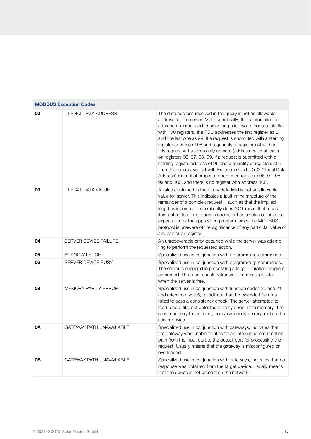| 02        | <b>ILLEGAL DATA ADDRESS</b>     | The data address received in the query is not an allowable<br>address for the server. More specifically, the combination of<br>reference number and transfer length is invalid. For a controller<br>with 100 registers, the PDU addresses the first register as 0,<br>and the last one as 99. If a request is submitted with a starting<br>register address of 96 and a quantity of registers of 4, then<br>this request will successfully operate (address -wise at least)<br>on registers 96, 97, 98, 99. If a request is submitted with a<br>starting register address of 96 and a quantity of registers of 5,<br>then this request will fail with Exception Code 0x02 "Illegal Data<br>Address" since it attempts to operate on registers 96, 97, 98,<br>99 and 100, and there is no register with address 100. |
|-----------|---------------------------------|---------------------------------------------------------------------------------------------------------------------------------------------------------------------------------------------------------------------------------------------------------------------------------------------------------------------------------------------------------------------------------------------------------------------------------------------------------------------------------------------------------------------------------------------------------------------------------------------------------------------------------------------------------------------------------------------------------------------------------------------------------------------------------------------------------------------|
| 03        | <b>ILLEGAL DATA VALUE</b>       | A value contained in the query data field is not an allowable<br>value for server. This indicates a fault in the structure of the<br>remainder of a complex request, such as that the implied<br>length is incorrect. It specifically does NOT mean that a data<br>item submitted for storage in a register has a value outside the<br>expectation of the application program, since the MODBUS<br>protocol is unaware of the significance of any particular value of<br>any particular register.                                                                                                                                                                                                                                                                                                                   |
| 04        | <b>SERVER DEVICE FAILURE</b>    | An unrecoverable error occurred while the server was attemp-<br>ting to perform the requested action.                                                                                                                                                                                                                                                                                                                                                                                                                                                                                                                                                                                                                                                                                                               |
| 05        | <b>ACKNOW LEDGE</b>             | Specialized use in conjunction with programming commands.                                                                                                                                                                                                                                                                                                                                                                                                                                                                                                                                                                                                                                                                                                                                                           |
| 06        | <b>SERVER DEVICE BUSY</b>       | Specialized use in conjunction with programming commands.<br>The server is engaged in processing a long - duration program<br>command. The client should retransmit the message later<br>when the server is free.                                                                                                                                                                                                                                                                                                                                                                                                                                                                                                                                                                                                   |
| 08        | <b>MEMORY PARITY ERROR</b>      | Specialized use in conjunction with function codes 20 and 21<br>and reference type 6, to indicate that the extended file area<br>failed to pass a consistency check. The server attempted to<br>read record file, but detected a parity error in the memory. The<br>client can retry the request, but service may be required on the<br>server device.                                                                                                                                                                                                                                                                                                                                                                                                                                                              |
| <b>0A</b> | <b>GATEWAY PATH UNAVAILABLE</b> | Specialized use in conjunction with gateways, indicates that<br>the gateway was unable to allocate an internal communication<br>path from the input port to the output port for processing the<br>request. Usually means that the gateway is misconfigured or<br>overloaded.                                                                                                                                                                                                                                                                                                                                                                                                                                                                                                                                        |
| 0В        | <b>GATEWAY PATH UNAVAILABLE</b> | Specialized use in conjunction with gateways, indicates that no<br>response was obtained from the target device. Usually means<br>that the device is not present on the network.                                                                                                                                                                                                                                                                                                                                                                                                                                                                                                                                                                                                                                    |

### MODBUS Exception Codes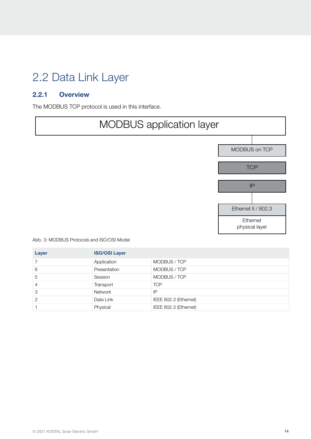## <span id="page-13-0"></span>2.2 Data Link Layer

### 2.2.1 Overview

The MODBUS TCP protocol is used in this interface.



Abb. 3: MODBUS Protocols and ISO/OSI Model

| Layer          | <b>ISO/OSI Layer</b> |                       |
|----------------|----------------------|-----------------------|
|                | Application          | MODBUS / TCP          |
| 6              | Presentation         | MODBUS / TCP          |
| 5              | Session              | MODBUS / TCP          |
| $\overline{4}$ | Transport            | <b>TCP</b>            |
| 3              | <b>Network</b>       | IP                    |
| $\mathcal{P}$  | Data Link            | IEEE 802.3 (Ethernet) |
|                | Physical             | IEEE 802.3 (Ethernet) |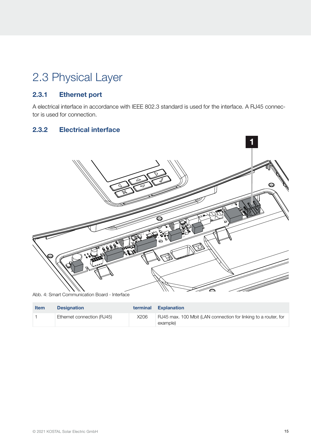# <span id="page-14-0"></span>2.3 Physical Layer

### 2.3.1 Ethernet port

A electrical interface in accordance with IEEE 802.3 standard is used for the interface. A RJ45 connector is used for connection.

### 2.3.2 Electrical interface



Abb. 4: Smart Communication Board - Interface

| <b>Item</b> | <b>Designation</b>         | terminal | <b>Explanation</b>                                                          |
|-------------|----------------------------|----------|-----------------------------------------------------------------------------|
|             | Ethernet connection (RJ45) | X206     | RJ45 max. 100 Mbit (LAN connection for linking to a router, for<br>example) |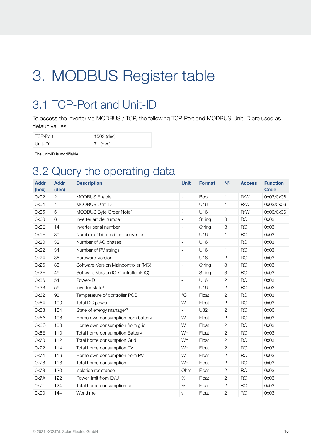# <span id="page-15-0"></span>3. MODBUS Register table

## 3.1 TCP-Port and Unit-ID

To access the inverter via MODBUS / TCP, the following TCP-Port and MODBUS-Unit-ID are used as default values:

| TCP-Port                | 1502 (dec) |
|-------------------------|------------|
| $Unit$ -ID <sup>1</sup> | 71 (dec)   |

1 The Unit-ID is modifiable.

### 3.2 Query the operating data

| <b>Addr</b><br>(hex) | <b>Addr</b><br>(dec) | <b>Description</b>                   | <b>Unit</b>              | <b>Format</b> | $N^{1}$        | <b>Access</b>  | <b>Function</b><br><b>Code</b> |
|----------------------|----------------------|--------------------------------------|--------------------------|---------------|----------------|----------------|--------------------------------|
| 0x02                 | $\overline{c}$       | <b>MODBUS Enable</b>                 | $\overline{\phantom{a}}$ | Bool          | 1              | R/W            | 0x03/0x06                      |
| 0x04                 | $\overline{4}$       | MODBUS Unit-ID                       | $\overline{\phantom{a}}$ | U16           | 1              | R/W            | 0x03/0x06                      |
| 0x05                 | 5                    | MODBUS Byte Order Note <sup>7</sup>  | $\overline{\phantom{a}}$ | U16           | 1              | R/W            | 0x03/0x06                      |
| 0x06                 | 6                    | Inverter article number              | $\overline{\phantom{a}}$ | String        | 8              | <b>RO</b>      | 0x03                           |
| 0x0E                 | 14                   | Inverter serial number               | $\overline{\phantom{a}}$ | String        | 8              | <b>RO</b>      | 0x03                           |
| 0x1E                 | 30                   | Number of bidirectional converter    | $\overline{\phantom{a}}$ | U16           | 1              | <b>RO</b>      | 0x03                           |
| 0x20                 | 32                   | Number of AC phases                  | $\frac{1}{2}$            | U16           | 1              | <b>RO</b>      | 0x03                           |
| 0x22                 | 34                   | Number of PV strings                 | $\overline{\phantom{a}}$ | U16           | 1              | <b>RO</b>      | 0x03                           |
| 0x24                 | 36                   | Hardware-Version                     | $\overline{\phantom{a}}$ | U16           | $\overline{c}$ | <b>RO</b>      | 0x03                           |
| 0x26                 | 38                   | Software-Version Maincontroller (MC) | $\overline{\phantom{a}}$ | String        | 8              | <b>RO</b>      | 0x03                           |
| 0x2E                 | 46                   | Software-Version IO-Controller (IOC) | $\overline{\phantom{a}}$ | String        | 8              | <b>RO</b>      | 0x03                           |
| 0x36                 | 54                   | Power-ID                             | $\frac{1}{2}$            | U16           | $\sqrt{2}$     | <b>RO</b>      | 0x03                           |
| 0x38                 | 56                   | Inverter state <sup>2</sup>          | $\overline{\phantom{a}}$ | U16           | 2              | <b>RO</b>      | 0x03                           |
| 0x62                 | 98                   | Temperature of controller PCB        | $^{\circ}$ C             | Float         | $\sqrt{2}$     | <b>RO</b>      | 0x03                           |
| 0x64                 | 100                  | Total DC power                       | W                        | Float         | $\mathbf{2}$   | <b>RO</b>      | 0x03                           |
| 0x68                 | 104                  | State of energy manager <sup>3</sup> | $\overline{\phantom{a}}$ | <b>U32</b>    | 2              | <b>RO</b>      | 0x03                           |
| 0x6A                 | 106                  | Home own consumption from battery    | W                        | Float         | $\sqrt{2}$     | <b>RO</b>      | 0x03                           |
| 0x6C                 | 108                  | Home own consumption from grid       | W                        | Float         | $\sqrt{2}$     | <b>RO</b>      | 0x03                           |
| 0x6E                 | 110                  | Total home consumption Battery       | Wh                       | Float         | $\sqrt{2}$     | <b>RO</b>      | 0x03                           |
| 0x70                 | 112                  | Total home consumption Grid          | Wh                       | Float         | 2              | <b>RO</b>      | 0x03                           |
| 0x72                 | 114                  | Total home consumption PV            | Wh                       | Float         | 2              | <b>RO</b>      | 0x03                           |
| 0x74                 | 116                  | Home own consumption from PV         | W                        | Float         | $\sqrt{2}$     | <b>RO</b>      | 0x03                           |
| 0x76                 | 118                  | Total home consumption               | Wh                       | Float         | $\sqrt{2}$     | <b>RO</b>      | 0x03                           |
| 0x78                 | 120                  | Isolation resistance                 | Ohm                      | Float         | $\sqrt{2}$     | <b>RO</b>      | 0x03                           |
| 0x7A                 | 122                  | Power limit from EVU                 | $\%$                     | Float         | 2              | <b>RO</b>      | 0x03                           |
| 0x7C                 | 124                  | Total home consumption rate          | %                        | Float         | 2              | <b>RO</b>      | 0x03                           |
| 0x90                 | 144<br>Worktime      |                                      | S                        | Float         | 2              | R <sub>O</sub> | 0x03                           |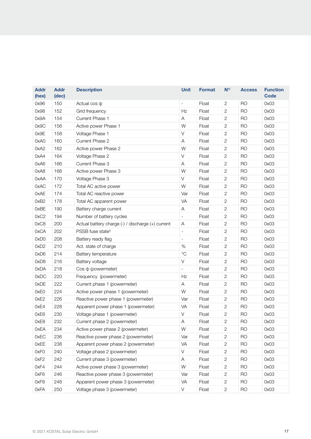| <b>Addr</b><br>(hex) | <b>Addr</b><br>(dec) | <b>Description</b>                                | <b>Unit</b>              | <b>Format</b> | $N^{1}$        | <b>Access</b> | <b>Function</b><br><b>Code</b> |
|----------------------|----------------------|---------------------------------------------------|--------------------------|---------------|----------------|---------------|--------------------------------|
| 0x96                 | 150                  | Actual $\cos \varphi$                             | $\overline{a}$           | Float         | 2              | <b>RO</b>     | 0x03                           |
| 0x98                 | 152                  | Grid frequency                                    | Hz                       | Float         | 2              | <b>RO</b>     | 0x03                           |
| 0x9A                 | 154                  | Current Phase 1                                   | A                        | Float         | 2              | <b>RO</b>     | 0x03                           |
| 0x9C                 | 156                  | Active power Phase 1                              | W                        | Float         | 2              | <b>RO</b>     | 0x03                           |
| 0x9E                 | 158                  | Voltage Phase 1                                   | $\vee$                   | Float         | 2              | <b>RO</b>     | 0x03                           |
| 0xA0                 | 160                  | Current Phase 2                                   | Α                        | Float         | 2              | <b>RO</b>     | 0x03                           |
| 0xA2                 | 162                  | Active power Phase 2                              | W                        | Float         | 2              | <b>RO</b>     | 0x03                           |
| 0xA4                 | 164                  | Voltage Phase 2                                   | $\vee$                   | Float         | 2              | <b>RO</b>     | 0x03                           |
| 0xA6                 | 166                  | Current Phase 3                                   | Α                        | Float         | 2              | <b>RO</b>     | 0x03                           |
| 0xA8                 | 168                  | Active power Phase 3                              | W                        | Float         | 2              | <b>RO</b>     | 0x03                           |
| 0xAA                 | 170                  | Voltage Phase 3                                   | $\vee$                   | Float         | 2              | <b>RO</b>     | 0x03                           |
| 0xAC                 | 172                  | Total AC active power                             | W                        | Float         | $\overline{c}$ | <b>RO</b>     | 0x03                           |
| 0xAE                 | 174                  | Total AC reactive power                           | Var                      | Float         | 2              | <b>RO</b>     | 0x03                           |
| 0xB2                 | 178                  | Total AC apparent power                           | VA                       | Float         | 2              | <b>RO</b>     | 0x03                           |
| 0xBE                 | 190                  | Battery charge current                            | A                        | Float         | 2              | <b>RO</b>     | 0x03                           |
| 0xC2                 | 194                  | Number of battery cycles                          | $\qquad \qquad -$        | Float         | $\overline{c}$ | <b>RO</b>     | 0x03                           |
| 0xC8                 | 200                  | Actual battery charge (-) / discharge (+) current | Α                        | Float         | $\overline{c}$ | <b>RO</b>     | 0x03                           |
| 0xCA                 | 202                  | PSSB fuse state <sup>5</sup>                      | $\overline{\phantom{a}}$ | Float         | 2              | <b>RO</b>     | 0x03                           |
| 0xD0                 | 208                  | Battery ready flag                                | $\overline{\phantom{0}}$ | Float         | 2              | <b>RO</b>     | 0x03                           |
| 0xD2                 | 210                  | Act. state of charge                              | %                        | Float         | 2              | <b>RO</b>     | 0x03                           |
| 0xD6                 | 214                  | Battery temperature                               | $^{\circ}C$              | Float         | 2              | <b>RO</b>     | 0x03                           |
| 0xD8                 | 216                  | Battery voltage                                   | $\vee$                   | Float         | 2              | <b>RO</b>     | 0x03                           |
| 0xDA                 | 218                  | $Cos \phi$ (powermeter)                           | $\overline{a}$           | Float         | 2              | <b>RO</b>     | 0x03                           |
| 0xDC                 | 220                  | Frequency (powermeter)                            | Ηz                       | Float         | 2              | <b>RO</b>     | 0x03                           |
| 0xDE                 | 222                  | Current phase 1 (powermeter)                      | A                        | Float         | 2              | <b>RO</b>     | 0x03                           |
| 0xE0                 | 224                  | Active power phase 1 (powermeter)                 | W                        | Float         | 2              | <b>RO</b>     | 0x03                           |
| 0xE2                 | 226                  | Reactive power phase 1 (powermeter)               | Var                      | Float         | 2              | <b>RO</b>     | 0x03                           |
| 0xE4                 | 228                  | Apparent power phase 1 (powermeter)               | VA                       | Float         | 2              | <b>RO</b>     | 0x03                           |
| 0xE6                 | 230                  | Voltage phase 1 (powermeter)                      | $\vee$                   | Float         | 2              | <b>RO</b>     | 0x03                           |
| 0xE8                 | 232                  | Current phase 2 (powermeter)                      | Α                        | Float         | $\overline{c}$ | RO            | 0x03                           |
| 0xEA                 | 234                  | Active power phase 2 (powermeter)                 | W                        | Float         | 2              | <b>RO</b>     | 0x03                           |
| 0xEC                 | 236                  | Reactive power phase 2 (powermeter)               |                          | Float         | 2              | <b>RO</b>     | 0x03                           |
| 0xEE                 | 238                  | Apparent power phase 2 (powermeter)               |                          | Float         | 2              | <b>RO</b>     | 0x03                           |
| 0xF0                 | 240                  | Voltage phase 2 (powermeter)                      |                          | Float         | 2              | <b>RO</b>     | 0x03                           |
| 0xF <sub>2</sub>     | 242                  | Current phase 3 (powermeter)                      | $\mathsf A$              | Float         | $\overline{c}$ | <b>RO</b>     | 0x03                           |
| 0xF4                 | 244                  | Active power phase 3 (powermeter)                 | W                        | Float         | 2              | <b>RO</b>     | 0x03                           |
| 0xF6                 | 246                  | Reactive power phase 3 (powermeter)               | Var                      | Float         | 2              | <b>RO</b>     | 0x03                           |
| 0xF8                 | 248                  | Apparent power phase 3 (powermeter)               | VA                       | Float         | 2              | <b>RO</b>     | 0x03                           |
| 0xFA                 | 250                  | Voltage phase 3 (powermeter)                      | V                        | Float         | $\overline{c}$ | <b>RO</b>     | 0x03                           |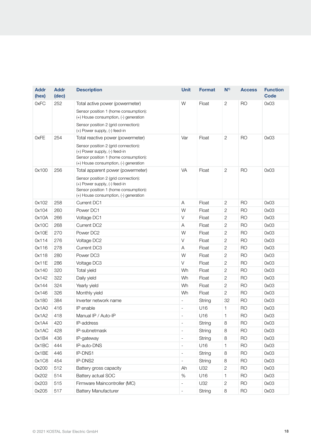| <b>Addr</b><br>(hex) | <b>Addr</b><br>(dec) | <b>Description</b>                                                                                                                                      | <b>Unit</b>                  | <b>Format</b> | $N^{1}$        | <b>Access</b>  | <b>Function</b><br><b>Code</b> |
|----------------------|----------------------|---------------------------------------------------------------------------------------------------------------------------------------------------------|------------------------------|---------------|----------------|----------------|--------------------------------|
| 0xFC                 | 252                  | Total active power (powermeter)                                                                                                                         | W                            | Float         | $\overline{2}$ | <b>RO</b>      | 0x03                           |
|                      |                      | Sensor position 1 (home consumption):<br>(+) House consumption, (-) generation                                                                          |                              |               |                |                |                                |
|                      |                      | Sensor position 2 (grid connection):<br>(+) Power supply, (-) feed-in                                                                                   |                              |               |                |                |                                |
| 0xFE                 | 254                  | Total reactive power (powermeter)                                                                                                                       | Var                          | Float         | $\overline{2}$ | <b>RO</b>      | 0x03                           |
|                      |                      | Sensor position 2 (grid connection):<br>(+) Power supply, (-) feed-in<br>Sensor position 1 (home consumption):<br>(+) House consumption, (-) generation |                              |               |                |                |                                |
| 0x100                | 256                  | Total apparent power (powermeter)                                                                                                                       | VA                           | Float         | $\sqrt{2}$     | <b>RO</b>      | 0x03                           |
|                      |                      | Sensor position 2 (grid connection):<br>(+) Power supply, (-) feed-in<br>Sensor position 1 (home consumption):<br>(+) House consumption, (-) generation |                              |               |                |                |                                |
| 0x102                | 258<br>Current DC1   |                                                                                                                                                         | Α                            | Float         | $\mathbf{2}$   | <b>RO</b>      | 0x03                           |
| 0x104                | 260                  | Power DC1                                                                                                                                               | W                            | Float         | 2              | <b>RO</b>      | 0x03                           |
| 0x10A                | 266                  | Voltage DC1                                                                                                                                             | V                            | Float         | $\mathbf{2}$   | <b>RO</b>      | 0x03                           |
| 0x10C                | 268                  | Current DC2                                                                                                                                             | Α                            | Float         | $\mathbf{2}$   | <b>RO</b>      | 0x03                           |
| 0x10E                | 270<br>Power DC2     |                                                                                                                                                         | W                            | Float         | 2              | <b>RO</b>      | 0x03                           |
| 0x114                | 276<br>Voltage DC2   |                                                                                                                                                         | $\vee$                       | Float         | $\mathbf{2}$   | <b>RO</b>      | 0x03                           |
| 0x116                | 278<br>Current DC3   |                                                                                                                                                         | Α                            | Float         | $\mathbf{2}$   | <b>RO</b>      | 0x03                           |
| 0x118                | 280<br>Power DC3     |                                                                                                                                                         | W                            | Float         | $\mathbf{2}$   | <b>RO</b>      | 0x03                           |
| 0x11E                | 286<br>Voltage DC3   |                                                                                                                                                         | V                            | Float         | 2              | R <sub>O</sub> | 0x03                           |
| 0x140                | 320<br>Total yield   |                                                                                                                                                         | Wh                           | Float         | 2              | <b>RO</b>      | 0x03                           |
| 0x142                | 322<br>Daily yield   |                                                                                                                                                         | Wh                           | Float         | $\mathbf{2}$   | <b>RO</b>      | 0x03                           |
| 0x144                | 324                  | Yearly yield                                                                                                                                            | Wh                           | Float         | $\mathbf{2}$   | <b>RO</b>      | 0x03                           |
| 0x146                | 326                  | Monthly yield                                                                                                                                           | Wh                           | Float         | $\sqrt{2}$     | <b>RO</b>      | 0x03                           |
| 0x180                | 384                  | Inverter network name                                                                                                                                   |                              | String        | 32             | <b>RO</b>      | 0x03                           |
| 0x1A0                | 416                  | IP enable                                                                                                                                               | $\overline{\phantom{a}}$     | U16           | 1              | <b>RO</b>      | 0x03                           |
| 0x1A2                | 418                  | Manual IP / Auto-IP                                                                                                                                     | $\overline{a}$               | U16           | $\mathbf{1}$   | <b>RO</b>      | 0x03                           |
| 0x1A4                | 420                  | IP-address                                                                                                                                              | $\overline{\phantom{a}}$     | String        | 8              | <b>RO</b>      | 0x03                           |
| 0x1AC                | 428                  | IP-subnetmask                                                                                                                                           | $\overline{\phantom{a}}$     | String        | 8              | <b>RO</b>      | 0x03                           |
| 0x1B4                | 436                  | IP-gateway                                                                                                                                              | $\qquad \qquad \blacksquare$ | String        | 8              | <b>RO</b>      | 0x03                           |
| 0x1BC                | 444                  | IP-auto-DNS                                                                                                                                             | $\overline{\phantom{a}}$     | U16           | 1              | <b>RO</b>      | 0x03                           |
| 0x1BE                | 446                  | IP-DNS1                                                                                                                                                 | $\overline{\phantom{a}}$     | String        | $\,8\,$        | <b>RO</b>      | 0x03                           |
| 0x1C6                | 454                  | IP-DNS2                                                                                                                                                 | $\blacksquare$               | String        | 8              | <b>RO</b>      | 0x03                           |
| 0x200                | 512                  | Battery gross capacity                                                                                                                                  | Ah                           | U32           | $\sqrt{2}$     | <b>RO</b>      | 0x03                           |
| 0x202                | 514                  | Battery actual SOC                                                                                                                                      | $\%$                         | U16           | 1              | <b>RO</b>      | 0x03                           |
| 0x203                | 515                  | Firmware Maincontroller (MC)                                                                                                                            | $\overline{\phantom{a}}$     | U32           | $\mathbf{2}$   | <b>RO</b>      | 0x03                           |
| 0x205                | 517                  | <b>Battery Manufacturer</b>                                                                                                                             | $\overline{\phantom{a}}$     | String        | $\,8\,$        | <b>RO</b>      | 0x03                           |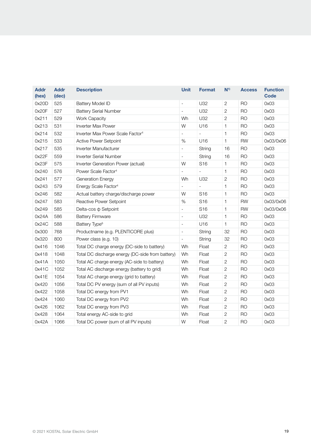| <b>Addr</b><br>(hex) | <b>Addr</b><br>(dec)             | <b>Description</b>                               | <b>Unit</b>              | <b>Format</b>            | N <sup>1</sup> | <b>Access</b>  | <b>Function</b><br><b>Code</b> |
|----------------------|----------------------------------|--------------------------------------------------|--------------------------|--------------------------|----------------|----------------|--------------------------------|
| 0x20D                | 525                              | <b>Battery Model ID</b>                          | $\overline{\phantom{a}}$ | U32                      | $\mathbf{2}$   | R <sub>O</sub> | 0x03                           |
| 0x20F                | 527                              | <b>Battery Serial Number</b>                     | $\overline{a}$           | U32                      | $\mathbf{2}$   | R <sub>O</sub> | 0x03                           |
| 0x211                | 529                              | <b>Work Capacity</b>                             | Wh                       | U32                      | $\overline{c}$ | R <sub>O</sub> | 0x03                           |
| 0x213                | 531                              | <b>Inverter Max Power</b>                        | W                        | U16                      | 1              | <b>RO</b>      | 0x03                           |
| 0x214                | 532                              | Inverter Max Power Scale Factor <sup>4</sup>     | $\overline{a}$           | $\overline{\phantom{a}}$ | $\mathbf{1}$   | <b>RO</b>      | 0x03                           |
| 0x215                | 533                              | Active Power Setpoint                            | $\%$                     | U16                      | $\mathbf{1}$   | <b>RW</b>      | 0x03/0x06                      |
| 0x217                | 535                              | Inverter Manufacturer                            | $\overline{\phantom{0}}$ | String                   | 16             | <b>RO</b>      | 0x03                           |
| 0x22F                | 559                              | <b>Inverter Serial Number</b>                    | $\overline{\phantom{0}}$ | String                   | 16             | <b>RO</b>      | 0x03                           |
| 0x23F                | 575                              | Inverter Generation Power (actual)               | W                        | S <sub>16</sub>          | 1              | <b>RO</b>      | 0x03                           |
| 0x240                | 576                              | Power Scale Factor <sup>4</sup>                  | $\overline{a}$           | $\frac{1}{2}$            | 1              | <b>RO</b>      | 0x03                           |
| 0x241                | 577<br>Generation Energy         |                                                  | Wh                       | U32                      | $\overline{c}$ | <b>RO</b>      | 0x03                           |
| 0x243                | 579                              | Energy Scale Factor <sup>4</sup>                 | $\overline{\phantom{0}}$ | $\overline{a}$           | 1              | <b>RO</b>      | 0x03                           |
| 0x246                | 582                              | Actual battery charge/discharge power            | W                        | S <sub>16</sub>          | 1              | <b>RO</b>      | 0x03                           |
| 0x247                | 583<br>Reactive Power Setpoint   |                                                  | $\%$                     | S <sub>16</sub>          | 1              | <b>RW</b>      | 0x03/0x06                      |
| 0x249                | 585<br>Delta-cos $\Phi$ Setpoint |                                                  | $\frac{1}{2}$            | S <sub>16</sub>          | 1              | <b>RW</b>      | 0x03/0x06                      |
| 0x24A                | 586                              | <b>Battery Firmware</b>                          |                          | U32                      | 1              | <b>RO</b>      | 0x03                           |
| 0x24C                | 588                              | Battery Type <sup>6</sup>                        | $\overline{\phantom{0}}$ | U16                      | $\mathbf{1}$   | <b>RO</b>      | 0x03                           |
| 0x300                | 768                              | Productname (e.g. PLENTICORE plus)               | $\qquad \qquad -$        | String                   | 32             | <b>RO</b>      | 0x03                           |
| 0x320                | 800                              | Power class (e.g. 10)                            | $\overline{a}$           | String                   | 32             | <b>RO</b>      | 0x03                           |
| 0x416                | 1046                             | Total DC charge energy (DC-side to battery)      | Wh                       | Float                    | $\sqrt{2}$     | <b>RO</b>      | 0x03                           |
| 0x418                | 1048                             | Total DC discharge energy (DC-side from battery) | Wh                       | Float                    | 2              | <b>RO</b>      | 0x03                           |
| 0x41A                | 1050                             | Total AC charge energy (AC-side to battery)      | Wh                       | Float                    | $\sqrt{2}$     | <b>RO</b>      | 0x03                           |
| 0x41C                | 1052                             | Total AC discharge energy (battery to grid)      | Wh                       | Float                    | $\overline{c}$ | R <sub>O</sub> | 0x03                           |
| 0x41E                | 1054                             | Total AC charge energy (grid to battery)         | Wh                       | Float                    | $\mathbf{2}$   | R <sub>O</sub> | 0x03                           |
| 0x420                | 1056                             | Total DC PV energy (sum of all PV inputs)        | Wh                       | Float                    | $\sqrt{2}$     | R <sub>O</sub> | 0x03                           |
| 0x422                | 1058                             | Total DC energy from PV1                         | Wh                       | Float                    | 2              | R <sub>O</sub> | 0x03                           |
| 0x424                | 1060                             | Total DC energy from PV2                         | Wh                       | Float                    | $\mathbf{2}$   | R <sub>O</sub> | 0x03                           |
| 0x426                | 1062                             | Total DC energy from PV3                         | Wh                       | Float                    | $\overline{c}$ | R <sub>O</sub> | 0x03                           |
| 0x428                | 1064                             | Total energy AC-side to grid                     | Wh                       | Float                    | 2              | R <sub>O</sub> | 0x03                           |
| 0x42A                | 1066                             | Total DC power (sum of all PV inputs)            | W                        | Float                    | $\overline{c}$ | <b>RO</b>      | 0x03                           |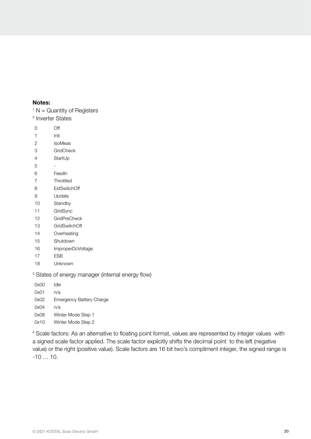#### Notes:

 $1 N =$  Quantity of Registers

Inverter States

- Off
- Init
- IsoMeas
- GridCheck
- StartUp
- -
- FeedIn
- Throttled
- ExtSwitchOff
- Update
- Standby
- GridSync
- GridPreCheck
- GridSwitchOff
- Overheating
- Shutdown
- ImproperDcVoltage
- ESB
- Unknown

States of energy manager (internal energy flow)

0x00 Idle 0x01 n/a 0x02 Emergency Battery Charge 0x04 n/a 0x08 Winter Mode Step 1 0x10 Winter Mode Step 2

 Scale factors: As an alternative to floating point format, values are represented by integer values with a signed scale factor applied. The scale factor explicitly shifts the decimal point to the left (negative value) or the right (positive value). Scale factors are 16 bit two's compliment integer, the signed range is  $-10$  …  $10$ .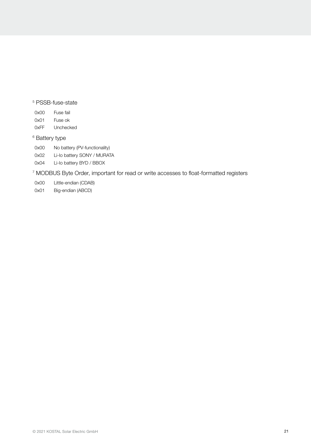#### 5 PSSB-fuse-state

| OxOO | Fuse fail |
|------|-----------|
| 0x01 | Fuse ok   |
| 0xFF | Unchecked |

#### 6 Battery type

- 0x00 No battery (PV-functionality)
- 0x02 Li-Io battery SONY / MURATA
- 0x04 Li-Io battery BYD / BBOX

7 MODBUS Byte Order, important for read or write accesses to float-formatted registers

- 0x00 Little-endian (CDAB)
- 0x01 Big-endian (ABCD)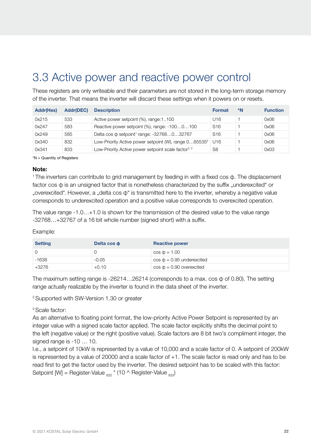## <span id="page-21-0"></span>3.3 Active power and reactive power control

These registers are only writeable and their parameters are not stored in the long-term storage memory of the inverter. That means the inverter will discard these settings when it powers on or resets.

| <b>Addr(Hex)</b> | <b>Addr(DEC)</b> | <b>Description</b>                                                | <b>Format</b>   | *N | <b>Function</b> |
|------------------|------------------|-------------------------------------------------------------------|-----------------|----|-----------------|
| 0x215            | 533              | Active power setpoint (%), range:1100                             | U16             |    | 0x06            |
| 0x247            | 583              | Reactive power setpoint (%), range: -1000100                      | S <sub>16</sub> |    | 0x06            |
| 0x249            | 585              | Delta cos $\phi$ setpoint <sup>1</sup> range: -32768032767        | S <sub>16</sub> |    | 0x06            |
| 0x340            | 832              | Low-Priority Active power setpoint (W), range 065535 <sup>2</sup> | U16             |    | 0x06            |
| 0x341            | 833              | Low-Priority Active power setpoint scale factor <sup>2, 3</sup>   | S8              |    | 0x03            |

\*N = Quantity of Registers

#### Note:

1 The inverters can contribute to grid management by feeding in with a fixed cos φ. The displacement factor cos  $\Phi$  is an unsigned factor that is nonetheless characterized by the suffix "underexcited" or "overexcited". However, a "delta cos φ" is transmitted here to the inverter, whereby a negative value corresponds to underexcited operation and a positive value corresponds to overexcited operation.

The value range -1.0…+1.0 is shown for the transmission of the desired value to the value range -32768…+32767 of a 16 bit whole number (signed short) with a suffix.

Example:

| <b>Setting</b> | Delta cos o | <b>Reactive power</b>           |
|----------------|-------------|---------------------------------|
|                | O           | $\cos \phi = 1.00$              |
| $-1638$        | $-0.05$     | $\cos \phi = 0.95$ underexcited |
| +3276          | $+0.10$     | $\cos \phi = 0.90$ overexcited  |

The maximum setting range is -26214…26214 (corresponds to a max. cos φ of 0.80). The setting range actually realizable by the inverter is found in the data sheet of the inverter.

2 Supported with SW-Version 1.30 or greater

3 Scale factor:

As an alternative to floating point format, the low-priority Active Power Setpoint is represented by an integer value with a signed scale factor applied. The scale factor explicitly shifts the decimal point to the left (negative value) or the right (positive value). Scale factors are 8 bit two's compliment integer, the signed range is -10 … 10.

I.e., a setpoint of 10kW is represented by a value of 10,000 and a scale factor of 0. A setpoint of 200kW is represented by a value of 20000 and a scale factor of +1. The scale factor is read only and has to be read first to get the factor used by the inverter. The desired setpoint has to be scaled with this factor: Setpoint [W] = Register-Value  $_{832}$   $*$  (10 ^ Register-Value  $_{833}$ )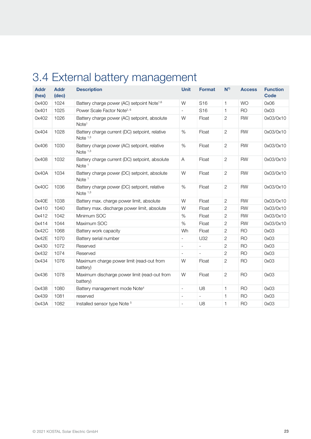# <span id="page-22-0"></span>3.4 External battery management

| <b>Addr</b><br>(hex) | <b>Addr</b><br>(dec) | <b>Description</b>                                                | <b>Unit</b>              | <b>Format</b>            | $N^{1}$        | <b>Access</b>  | <b>Function</b><br><b>Code</b> |
|----------------------|----------------------|-------------------------------------------------------------------|--------------------------|--------------------------|----------------|----------------|--------------------------------|
| 0x400                | 1024                 | Battery charge power (AC) setpoint Note <sup>1,6</sup>            | W                        | S <sub>16</sub>          | $\mathbf{1}$   | <b>WO</b>      | 0x06                           |
| 0x401                | 1025                 | Power Scale Factor Note <sup>2, 6</sup>                           | $\mathbb{L}$             | S <sub>16</sub>          | 1              | <b>RO</b>      | 0x03                           |
| 0x402                | 1026                 | Battery charge power (AC) setpoint, absolute<br>Note <sup>1</sup> | W                        | Float                    | $\overline{c}$ | <b>RW</b>      | 0x03/0x10                      |
| 0x404                | 1028                 | Battery charge current (DC) setpoint, relative<br>Note $1,3$      | $\%$                     | Float                    | $\overline{c}$ | <b>RW</b>      | 0x03/0x10                      |
| 0x406                | 1030                 | Battery charge power (AC) setpoint, relative<br>Note $1,3$        | %                        | Float                    | $\overline{c}$ | <b>RW</b>      | 0x03/0x10                      |
| 0x408                | 1032                 | Battery charge current (DC) setpoint, absolute<br>Note $1$        | Α                        | Float                    | $\overline{c}$ | <b>RW</b>      | 0x03/0x10                      |
| 0x40A                | 1034                 | Battery charge power (DC) setpoint, absolute<br>Note $1$          | W                        | Float                    | $\overline{c}$ | <b>RW</b>      | 0x03/0x10                      |
| 0x40C                | 1036                 | Battery charge power (DC) setpoint, relative<br>Note $1,3$        | %                        | Float                    | $\overline{c}$ | <b>RW</b>      | 0x03/0x10                      |
| 0x40E                | 1038                 | Battery max. charge power limit, absolute                         | W                        | Float                    | $\overline{2}$ | <b>RW</b>      | 0x03/0x10                      |
| 0x410                | 1040                 | Battery max. discharge power limit, absolute                      | W                        | Float                    | 2              | <b>RW</b>      | 0x03/0x10                      |
| 0x412                | 1042                 | Minimum SOC                                                       | %                        | Float                    | $\overline{c}$ | <b>RW</b>      | 0x03/0x10                      |
| 0x414                | 1044                 | Maximum SOC                                                       | $\%$                     | Float                    | $\overline{c}$ | <b>RW</b>      | 0x03/0x10                      |
| 0x42C                | 1068                 | Battery work capacity                                             | Wh                       | Float                    | $\overline{c}$ | <b>RO</b>      | 0x03                           |
| 0x42E                | 1070                 | Battery serial number                                             | $\overline{\phantom{a}}$ | U32                      | 2              | R <sub>O</sub> | 0x03                           |
| 0x430                | 1072                 | Reserved                                                          | $\overline{\phantom{a}}$ | $\overline{\phantom{a}}$ | $\mathbf{2}$   | R <sub>O</sub> | 0x03                           |
| 0x432                | 1074                 | Reserved                                                          | $\overline{\phantom{a}}$ | $\overline{\phantom{0}}$ | $\overline{c}$ | <b>RO</b>      | 0x03                           |
| 0x434                | 1076                 | Maximum charge power limit (read-out from<br>battery)             | W                        | Float                    | $\overline{c}$ | R <sub>O</sub> | 0x03                           |
| 0x436                | 1078                 | Maximum discharge power limit (read-out from<br>battery)          | W                        | Float                    | $\sqrt{2}$     | <b>RO</b>      | 0x03                           |
| 0x438                | 1080                 | Battery management mode Note <sup>4</sup>                         | $\bar{\phantom{a}}$      | U8                       | 1              | R <sub>O</sub> | 0x03                           |
| 0x439                | 1081                 | reserved                                                          | $\overline{a}$           |                          | 1              | R <sub>O</sub> | 0x03                           |
| 0x43A                | 1082                 | Installed sensor type Note <sup>5</sup>                           | $\overline{a}$           | U8                       | 1              | <b>RO</b>      | 0x03                           |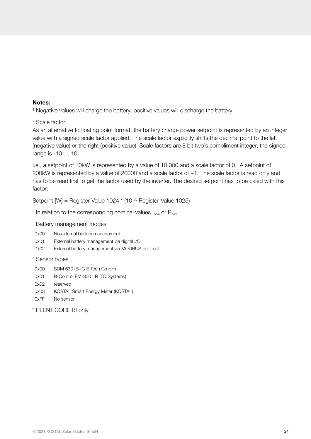#### Notes:

<sup>1</sup> Negative values will charge the battery, positive values will discharge the battery.

2 Scale factor:

As an alternative to floating point format, the battery charge power setpoint is represented by an integer value with a signed scale factor applied. The scale factor explicitly shifts the decimal point to the left (negative value) or the right (positive value). Scale factors are 8 bit two's compliment integer, the signed range is -10 … 10.

I.e., a setpoint of 10kW is represented by a value of 10,000 and a scale factor of 0. A setpoint of 200kW is represented by a value of 20000 and a scale factor of +1. The scale factor is read only and has to be read first to get the factor used by the inverter. The desired setpoint has to be caled with this factor:

Setpoint [W] = Register-Value 1024 \* (10 ^ Register-Value 1025)

 $^3$  In relation to the corresponding nominal values I $_{\sf nom}$  or  ${\sf P}_{\sf nom}$ 

#### 4 Battery management modes

- 0x00 No external battery management
- 0x01 External battery management via digital I/O
- 0x02 External battery management via MODBUS protocol

#### 5 Sensor types

- 0x00 SDM 630 (B+G E-Tech GmbH)
- 0x01 B-Control EM-300 LR (TQ Systems)
- 0x02 reserved
- 0x03 KOSTAL Smart Energy Meter (KOSTAL)
- 0xFF No sensor

6 PLENTICORE BI only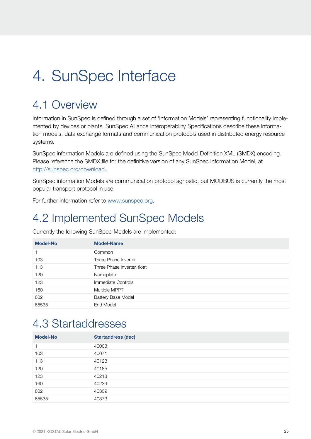# <span id="page-24-0"></span>4. SunSpec Interface

### 4.1 Overview

Information in SunSpec is defined through a set of 'Information Models' representing functionality implemented by devices or plants. SunSpec Alliance Interoperability Specifications describe these information models, data exchange formats and communication protocols used in distributed energy resource systems.

SunSpec information Models are defined using the SunSpec Model Definition XML (SMDX) encoding. Please reference the SMDX file for the definitive version of any SunSpec Information Model, at [http://sunspec.org/download.](http://sunspec.org/download)

SunSpec information Models are communication protocol agnostic, but MODBUS is currently the most popular transport protocol in use.

For further information refer to [www.sunspec.org.](http://www.sunspec.org)

## 4.2 Implemented SunSpec Models

Currently the following SunSpec-Models are implemented:

| <b>Model-No</b> | <b>Model-Name</b>           |
|-----------------|-----------------------------|
| 1               | Common                      |
| 103             | Three Phase Inverter        |
| 113             | Three Phase Inverter, float |
| 120             | Nameplate                   |
| 123             | Immediate Controls          |
| 160             | Multiple MPPT               |
| 802             | <b>Battery Base Model</b>   |
| 65535           | End Model                   |

### 4.3 Startaddresses

| <b>Model-No</b> | <b>Startaddress (dec)</b> |
|-----------------|---------------------------|
| 1               | 40003                     |
| 103             | 40071                     |
| 113             | 40123                     |
| 120             | 40185                     |
| 123             | 40213                     |
| 160             | 40239                     |
| 802             | 40309                     |
| 65535           | 40373                     |